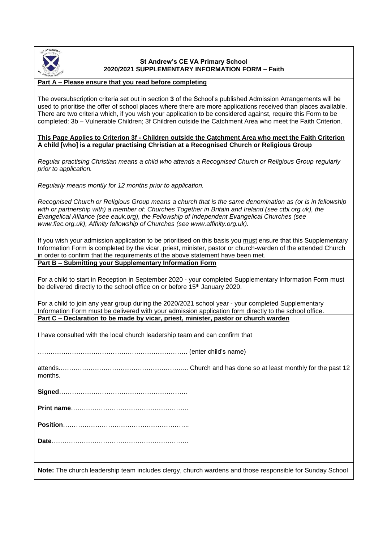

## **St Andrew's CE VA Primary School 2020/2021 SUPPLEMENTARY INFORMATION FORM – Faith**

### **Part A – Please ensure that you read before completing**

The oversubscription criteria set out in section **3** of the School's published Admission Arrangements will be used to prioritise the offer of school places where there are more applications received than places available. There are two criteria which, if you wish your application to be considered against, require this Form to be completed: 3b – Vulnerable Children; 3f Children outside the Catchment Area who meet the Faith Criterion.

#### **This Page Applies to Criterion 3f - Children outside the Catchment Area who meet the Faith Criterion A child [who] is a regular practising Christian at a Recognised Church or Religious Group**

*Regular practising Christian means a child who attends a Recognised Church or Religious Group regularly prior to application.*

*Regularly means montly for 12 months prior to application.*

*Recognised Church or Religious Group means a church that is the same denomination as (or is in fellowship with or partnership with) a member of: Churches Together in Britain and Ireland (see ctbi.org.uk), the Evangelical Alliance (see eauk.org), the Fellowship of Independent Evangelical Churches (see www.fiec.org.uk), Affinity fellowship of Churches (see www.affinity.org.uk).*

If you wish your admission application to be prioritised on this basis you must ensure that this Supplementary Information Form is completed by the vicar, priest, minister, pastor or church-warden of the attended Church in order to confirm that the requirements of the above statement have been met. **Part B – Submitting your Supplementary Information Form**

For a child to start in Reception in September 2020 - your completed Supplementary Information Form must be delivered directly to the school office on or before 15<sup>th</sup> January 2020.

For a child to join any year group during the 2020/2021 school year - your completed Supplementary Information Form must be delivered with your admission application form directly to the school office. **Part C – Declaration to be made by vicar, priest, minister, pastor or church warden**

I have consulted with the local church leadership team and can confirm that

……………………………………………………………. (enter child's name)

attends.…………………………………………………... Church and has done so at least monthly for the past 12 months.

**Signed**……………………………………………………

**Print name**……………………………………………….

**Position**…………………………………………………..

**Date**……………………………………………………….

**Note:** The church leadership team includes clergy, church wardens and those responsible for Sunday School